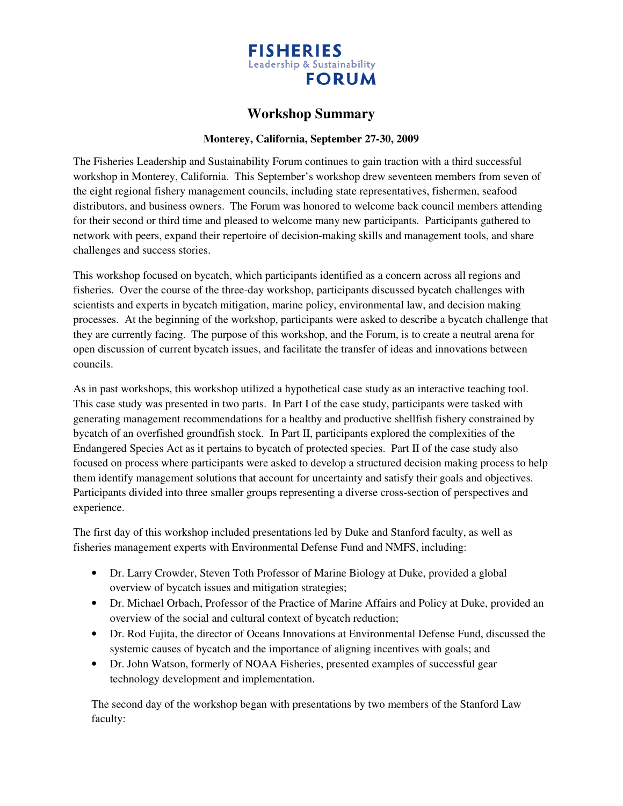

## **Workshop Summary**

## **Monterey, California, September 27-30, 2009**

The Fisheries Leadership and Sustainability Forum continues to gain traction with a third successful workshop in Monterey, California. This September's workshop drew seventeen members from seven of the eight regional fishery management councils, including state representatives, fishermen, seafood distributors, and business owners. The Forum was honored to welcome back council members attending for their second or third time and pleased to welcome many new participants. Participants gathered to network with peers, expand their repertoire of decision-making skills and management tools, and share challenges and success stories.

This workshop focused on bycatch, which participants identified as a concern across all regions and fisheries. Over the course of the three-day workshop, participants discussed bycatch challenges with scientists and experts in bycatch mitigation, marine policy, environmental law, and decision making processes. At the beginning of the workshop, participants were asked to describe a bycatch challenge that they are currently facing. The purpose of this workshop, and the Forum, is to create a neutral arena for open discussion of current bycatch issues, and facilitate the transfer of ideas and innovations between councils.

As in past workshops, this workshop utilized a hypothetical case study as an interactive teaching tool. This case study was presented in two parts. In Part I of the case study, participants were tasked with generating management recommendations for a healthy and productive shellfish fishery constrained by bycatch of an overfished groundfish stock. In Part II, participants explored the complexities of the Endangered Species Act as it pertains to bycatch of protected species. Part II of the case study also focused on process where participants were asked to develop a structured decision making process to help them identify management solutions that account for uncertainty and satisfy their goals and objectives. Participants divided into three smaller groups representing a diverse cross-section of perspectives and experience.

The first day of this workshop included presentations led by Duke and Stanford faculty, as well as fisheries management experts with Environmental Defense Fund and NMFS, including:

- Dr. Larry Crowder, Steven Toth Professor of Marine Biology at Duke, provided a global overview of bycatch issues and mitigation strategies;
- Dr. Michael Orbach, Professor of the Practice of Marine Affairs and Policy at Duke, provided an overview of the social and cultural context of bycatch reduction;
- Dr. Rod Fujita, the director of Oceans Innovations at Environmental Defense Fund, discussed the systemic causes of bycatch and the importance of aligning incentives with goals; and
- Dr. John Watson, formerly of NOAA Fisheries, presented examples of successful gear technology development and implementation.

The second day of the workshop began with presentations by two members of the Stanford Law faculty: